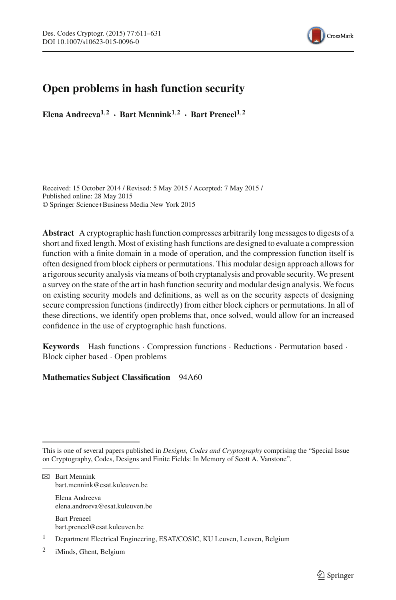

# **Open problems in hash function security**

**Elena Andreeva1**,**<sup>2</sup> · Bart Mennink1**,**<sup>2</sup> · Bart Preneel1**,**<sup>2</sup>**

Received: 15 October 2014 / Revised: 5 May 2015 / Accepted: 7 May 2015 / Published online: 28 May 2015 © Springer Science+Business Media New York 2015

**Abstract** A cryptographic hash function compresses arbitrarily long messages to digests of a short and fixed length. Most of existing hash functions are designed to evaluate a compression function with a finite domain in a mode of operation, and the compression function itself is often designed from block ciphers or permutations. This modular design approach allows for a rigorous security analysis via means of both cryptanalysis and provable security. We present a survey on the state of the art in hash function security and modular design analysis. We focus on existing security models and definitions, as well as on the security aspects of designing secure compression functions (indirectly) from either block ciphers or permutations. In all of these directions, we identify open problems that, once solved, would allow for an increased confidence in the use of cryptographic hash functions.

**Keywords** Hash functions · Compression functions · Reductions · Permutation based · Block cipher based · Open problems

# **Mathematics Subject Classification** 94A60

Elena Andreeva elena.andreeva@esat.kuleuven.be

Bart Preneel bart.preneel@esat.kuleuven.be

This is one of several papers published in *Designs, Codes and Cryptography* comprising the "Special Issue on Cryptography, Codes, Designs and Finite Fields: In Memory of Scott A. Vanstone".

 $\boxtimes$  Bart Mennink bart.mennink@esat.kuleuven.be

<sup>1</sup> Department Electrical Engineering, ESAT/COSIC, KU Leuven, Leuven, Belgium

<sup>2</sup> iMinds, Ghent, Belgium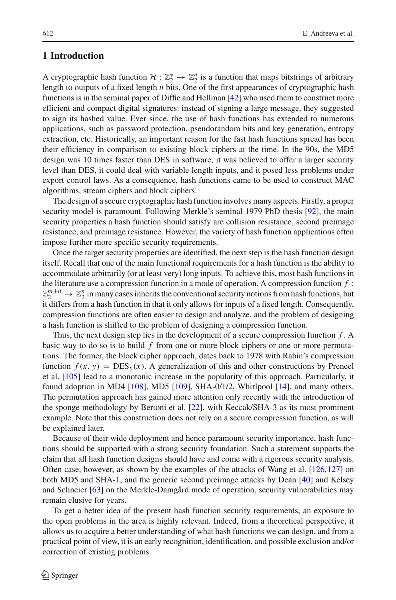# **1 Introduction**

A cryptographic hash function  $H: \mathbb{Z}_2^* \to \mathbb{Z}_2^n$  is a function that maps bitstrings of arbitrary length to outputs of a fixed length *n* bits. One of the first appearances of cryptographic hash functions is in the seminal paper of Diffie and Hellman [\[42\]](#page-16-0) who used them to construct more efficient and compact digital signatures: instead of signing a large message, they suggested to sign its hashed value. Ever since, the use of hash functions has extended to numerous applications, such as password protection, pseudorandom bits and key generation, entropy extraction, etc. Historically, an important reason for the fast hash functions spread has been their efficiency in comparison to existing block ciphers at the time. In the 90s, the MD5 design was 10 times faster than DES in software, it was believed to offer a larger security level than DES, it could deal with variable length inputs, and it posed less problems under export control laws. As a consequence, hash functions came to be used to construct MAC algorithms, stream ciphers and block ciphers.

The design of a secure cryptographic hash function involves many aspects. Firstly, a proper security model is paramount. Following Merkle's seminal 1979 PhD thesis [\[92](#page-18-0)], the main security properties a hash function should satisfy are collision resistance, second preimage resistance, and preimage resistance. However, the variety of hash function applications often impose further more specific security requirements.

Once the target security properties are identified, the next step is the hash function design itself. Recall that one of the main functional requirements for a hash function is the ability to accommodate arbitrarily (or at least very) long inputs. To achieve this, most hash functions in the literature use a compression function in a mode of operation. A compression function *f* :  $\mathbb{Z}_2^{m+n} \to \mathbb{Z}_2^n$  in many cases inherits the conventional security notions from hash functions, but it differs from a hash function in that it only allows for inputs of a fixed length. Consequently, compression functions are often easier to design and analyze, and the problem of designing a hash function is shifted to the problem of designing a compression function.

Thus, the next design step lies in the development of a secure compression function *f* . A basic way to do so is to build *f* from one or more block ciphers or one or more permutations. The former, the block cipher approach, dates back to 1978 with Rabin's compression function  $f(x, y) = DES_y(x)$ . A generalization of this and other constructions by Preneel et al. [\[105](#page-19-0)] lead to a monotonic increase in the popularity of this approach. Particularly, it found adoption in MD4 [\[108](#page-19-1)], MD5 [\[109](#page-19-2)], SHA-0/1/2, Whirlpool [\[14](#page-15-0)], and many others. The permutation approach has gained more attention only recently with the introduction of the sponge methodology by Bertoni et al. [\[22\]](#page-15-1), with Keccak/SHA-3 as its most prominent example. Note that this construction does not rely on a secure compression function, as will be explained later.

Because of their wide deployment and hence paramount security importance, hash functions should be supported with a strong security foundation. Such a statement supports the claim that all hash function designs should have and come with a rigorous security analysis. Often case, however, as shown by the examples of the attacks of Wang et al.  $[126, 127]$  $[126, 127]$  on both MD5 and SHA-1, and the generic second preimage attacks by Dean [\[40\]](#page-16-1) and Kelsey and Schneier [\[63\]](#page-17-0) on the Merkle-Damgård mode of operation, security vulnerabilities may remain elusive for years.

To get a better idea of the present hash function security requirements, an exposure to the open problems in the area is highly relevant. Indeed, from a theoretical perspective, it allows us to acquire a better understanding of what hash functions we can design, and from a practical point of view, it is an early recognition, identification, and possible exclusion and/or correction of existing problems.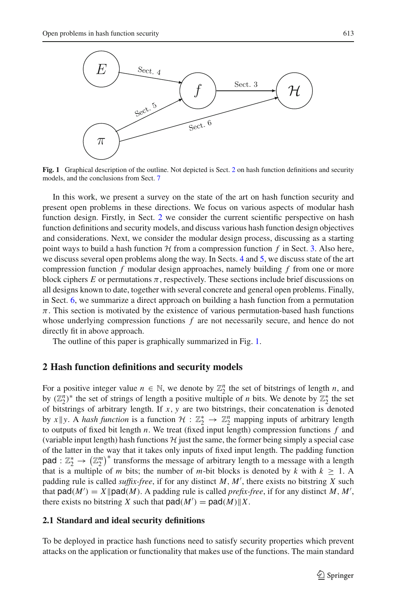

<span id="page-2-1"></span>**Fig. 1** Graphical description of the outline. Not depicted is Sect. [2](#page-2-0) on hash function definitions and security models, and the conclusions from Sect. [7](#page-14-0)

In this work, we present a survey on the state of the art on hash function security and present open problems in these directions. We focus on various aspects of modular hash function design. Firstly, in Sect. [2](#page-2-0) we consider the current scientific perspective on hash function definitions and security models, and discuss various hash function design objectives and considerations. Next, we consider the modular design process, discussing as a starting point ways to build a hash function  $H$  from a compression function  $f$  in Sect. [3.](#page-6-0) Also here, we discuss several open problems along the way. In Sects. [4](#page-8-0) and [5,](#page-11-0) we discuss state of the art compression function *f* modular design approaches, namely building *f* from one or more block ciphers  $E$  or permutations  $\pi$ , respectively. These sections include brief discussions on all designs known to date, together with several concrete and general open problems. Finally, in Sect. [6,](#page-13-0) we summarize a direct approach on building a hash function from a permutation  $\pi$ . This section is motivated by the existence of various permutation-based hash functions whose underlying compression functions *f* are not necessarily secure, and hence do not directly fit in above approach.

The outline of this paper is graphically summarized in Fig. [1.](#page-2-1)

### <span id="page-2-0"></span>**2 Hash function definitions and security models**

For a positive integer value  $n \in \mathbb{N}$ , we denote by  $\mathbb{Z}_2^n$  the set of bitstrings of length *n*, and by  $(\mathbb{Z}_2^n)^*$  the set of strings of length a positive multiple of *n* bits. We denote by  $\mathbb{Z}_2^*$  the set of bitstrings of arbitrary length. If *x*, *y* are two bitstrings, their concatenation is denoted by *x* || y. A *hash function* is a function  $H: \mathbb{Z}_2^* \to \mathbb{Z}_2^n$  mapping inputs of arbitrary length to outputs of fixed bit length *n*. We treat (fixed input length) compression functions *f* and (variable input length) hash functions  $H$  just the same, the former being simply a special case of the latter in the way that it takes only inputs of fixed input length. The padding function pad :  $\mathbb{Z}_2^* \to (\mathbb{Z}_2^m)^*$  transforms the message of arbitrary length to a message with a length that is a multiple of *m* bits; the number of *m*-bit blocks is denoted by *k* with  $k \ge 1$ . A padding rule is called *suffix-free*, if for any distinct *M*, *M* , there exists no bitstring *X* such that  $\text{pad}(M') = X \|\text{pad}(M)$ . A padding rule is called *prefix-free*, if for any distinct *M*, *M'*, there exists no bitstring *X* such that  $pad(M') = pad(M) \| X$ .

#### **2.1 Standard and ideal security definitions**

To be deployed in practice hash functions need to satisfy security properties which prevent attacks on the application or functionality that makes use of the functions. The main standard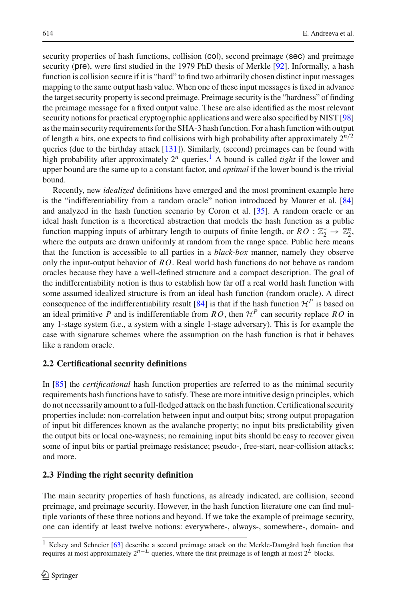security properties of hash functions, collision (col), second preimage (sec) and preimage security (pre), were first studied in the 1979 PhD thesis of Merkle [\[92\]](#page-18-0). Informally, a hash function is collision secure if it is "hard" to find two arbitrarily chosen distinct input messages mapping to the same output hash value. When one of these input messages is fixed in advance the target security property is second preimage. Preimage security is the "hardness" of finding the preimage message for a fixed output value. These are also identified as the most relevant security notions for practical cryptographic applications and were also specified by NIST [\[98\]](#page-18-1) as the main security requirements for the SHA-3 hash function. For a hash function with output of length *n* bits, one expects to find collisions with high probability after approximately  $2^{n/2}$ queries (due to the birthday attack [\[131](#page-20-0)]). Similarly, (second) preimages can be found with high probability after approximately  $2^n$  queries.<sup>[1](#page-3-0)</sup> A bound is called *tight* if the lower and upper bound are the same up to a constant factor, and *optimal* if the lower bound is the trivial bound.

Recently, new *idealized* definitions have emerged and the most prominent example here is the "indifferentiability from a random oracle" notion introduced by Maurer et al. [\[84\]](#page-18-2) and analyzed in the hash function scenario by Coron et al. [\[35](#page-16-2)]. A random oracle or an ideal hash function is a theoretical abstraction that models the hash function as a public function mapping inputs of arbitrary length to outputs of finite length, or  $RO : \mathbb{Z}_2^* \to \mathbb{Z}_2^n$ , where the outputs are drawn uniformly at random from the range space. Public here means that the function is accessible to all parties in a *black-box* manner, namely they observe only the input-output behavior of *RO*. Real world hash functions do not behave as random oracles because they have a well-defined structure and a compact description. The goal of the indifferentiability notion is thus to establish how far off a real world hash function with some assumed idealized structure is from an ideal hash function (random oracle). A direct consequence of the indifferentiability result  $[84]$  $[84]$  is that if the hash function  $\mathcal{H}^P$  is based on an ideal primitive *P* and is indifferentiable from *RO*, then  $H^P$  can security replace *RO* in any 1-stage system (i.e., a system with a single 1-stage adversary). This is for example the case with signature schemes where the assumption on the hash function is that it behaves like a random oracle.

# **2.2 Certificational security definitions**

In [\[85\]](#page-18-3) the *certificational* hash function properties are referred to as the minimal security requirements hash functions have to satisfy. These are more intuitive design principles, which do not necessarily amount to a full-fledged attack on the hash function. Certificational security properties include: non-correlation between input and output bits; strong output propagation of input bit differences known as the avalanche property; no input bits predictability given the output bits or local one-wayness; no remaining input bits should be easy to recover given some of input bits or partial preimage resistance; pseudo-, free-start, near-collision attacks; and more.

# **2.3 Finding the right security definition**

The main security properties of hash functions, as already indicated, are collision, second preimage, and preimage security. However, in the hash function literature one can find multiple variants of these three notions and beyond. If we take the example of preimage security, one can identify at least twelve notions: everywhere-, always-, somewhere-, domain- and

<span id="page-3-0"></span><sup>&</sup>lt;sup>1</sup> Kelsey and Schneier [\[63](#page-17-0)] describe a second preimage attack on the Merkle-Damgård hash function that requires at most approximately 2*n*−*<sup>L</sup>* queries, where the first preimage is of length at most 2*<sup>L</sup>* blocks.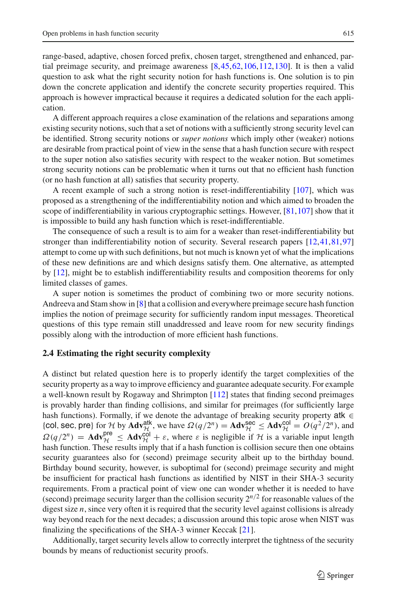range-based, adaptive, chosen forced prefix, chosen target, strengthened and enhanced, partial preimage security, and preimage awareness [\[8](#page-14-1)[,45,](#page-16-3)[62](#page-17-1)[,106,](#page-19-5)[112](#page-19-6)[,130](#page-20-1)]. It is then a valid question to ask what the right security notion for hash functions is. One solution is to pin down the concrete application and identify the concrete security properties required. This approach is however impractical because it requires a dedicated solution for the each application.

A different approach requires a close examination of the relations and separations among existing security notions, such that a set of notions with a sufficiently strong security level can be identified. Strong security notions or *super notions* which imply other (weaker) notions are desirable from practical point of view in the sense that a hash function secure with respect to the super notion also satisfies security with respect to the weaker notion. But sometimes strong security notions can be problematic when it turns out that no efficient hash function (or no hash function at all) satisfies that security property.

A recent example of such a strong notion is reset-indifferentiability [\[107\]](#page-19-7), which was proposed as a strengthening of the indifferentiability notion and which aimed to broaden the scope of indifferentiability in various cryptographic settings. However,  $[81,107]$  $[81,107]$  $[81,107]$  show that it is impossible to build any hash function which is reset-indifferentiable.

The consequence of such a result is to aim for a weaker than reset-indifferentiability but stronger than indifferentiability notion of security. Several research papers [\[12](#page-15-2)[,41,](#page-16-4)[81](#page-18-4)[,97\]](#page-18-5) attempt to come up with such definitions, but not much is known yet of what the implications of these new definitions are and which designs satisfy them. One alternative, as attempted by [\[12\]](#page-15-2), might be to establish indifferentiability results and composition theorems for only limited classes of games.

A super notion is sometimes the product of combining two or more security notions. Andreeva and Stam show in [\[8](#page-14-1)] that a collision and everywhere preimage secure hash function implies the notion of preimage security for sufficiently random input messages. Theoretical questions of this type remain still unaddressed and leave room for new security findings possibly along with the introduction of more efficient hash functions.

### **2.4 Estimating the right security complexity**

A distinct but related question here is to properly identify the target complexities of the security property as a way to improve efficiency and guarantee adequate security. For example a well-known result by Rogaway and Shrimpton [\[112](#page-19-6)] states that finding second preimages is provably harder than finding collisions, and similar for preimages (for sufficiently large hash functions). Formally, if we denote the advantage of breaking security property atk ∈ {col, sec, pre} for *H* by  $\text{Adv}_{\mathcal{H}}^{\text{atk}}$ , we have  $\Omega(q/2^n) = \text{Adv}_{\mathcal{H}}^{\text{sec}} \le \text{Adv}_{\mathcal{H}}^{\text{col}} = O(q^2/2^n)$ , and  $\Omega(q/2^n) = \text{Adv}_{\mathcal{H}}^{\text{pre}} \le \text{Adv}_{\mathcal{H}}^{\text{col}} + \varepsilon$ , where  $\varepsilon$  is negligible if  $\mathcal{H}$  is a variable input length hash function. These results imply that if a hash function is collision secure then one obtains security guarantees also for (second) preimage security albeit up to the birthday bound. Birthday bound security, however, is suboptimal for (second) preimage security and might be insufficient for practical hash functions as identified by NIST in their SHA-3 security requirements. From a practical point of view one can wonder whether it is needed to have (second) preimage security larger than the collision security  $2^{n/2}$  for reasonable values of the digest size *n*, since very often it is required that the security level against collisions is already way beyond reach for the next decades; a discussion around this topic arose when NIST was finalizing the specifications of the SHA-3 winner Keccak [\[21](#page-15-3)].

Additionally, target security levels allow to correctly interpret the tightness of the security bounds by means of reductionist security proofs.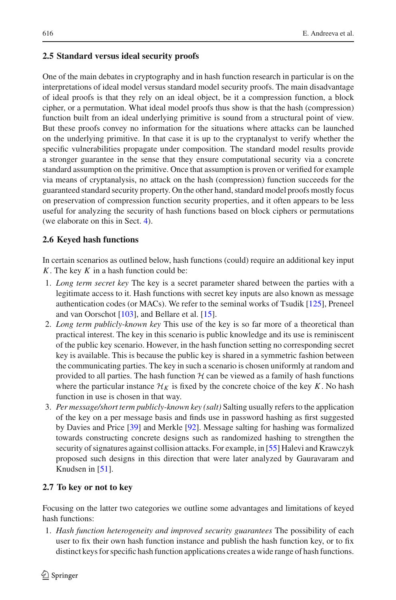### **2.5 Standard versus ideal security proofs**

One of the main debates in cryptography and in hash function research in particular is on the interpretations of ideal model versus standard model security proofs. The main disadvantage of ideal proofs is that they rely on an ideal object, be it a compression function, a block cipher, or a permutation. What ideal model proofs thus show is that the hash (compression) function built from an ideal underlying primitive is sound from a structural point of view. But these proofs convey no information for the situations where attacks can be launched on the underlying primitive. In that case it is up to the cryptanalyst to verify whether the specific vulnerabilities propagate under composition. The standard model results provide a stronger guarantee in the sense that they ensure computational security via a concrete standard assumption on the primitive. Once that assumption is proven or verified for example via means of cryptanalysis, no attack on the hash (compression) function succeeds for the guaranteed standard security property. On the other hand, standard model proofs mostly focus on preservation of compression function security properties, and it often appears to be less useful for analyzing the security of hash functions based on block ciphers or permutations (we elaborate on this in Sect. [4\)](#page-8-0).

### **2.6 Keyed hash functions**

In certain scenarios as outlined below, hash functions (could) require an additional key input *K*. The key *K* in a hash function could be:

- 1. *Long term secret key* The key is a secret parameter shared between the parties with a legitimate access to it. Hash functions with secret key inputs are also known as message authentication codes (or MACs). We refer to the seminal works of Tsudik [\[125](#page-19-8)], Preneel and van Oorschot [\[103](#page-18-6)], and Bellare et al. [\[15](#page-15-4)].
- 2. *Long term publicly-known key* This use of the key is so far more of a theoretical than practical interest. The key in this scenario is public knowledge and its use is reminiscent of the public key scenario. However, in the hash function setting no corresponding secret key is available. This is because the public key is shared in a symmetric fashion between the communicating parties. The key in such a scenario is chosen uniformly at random and provided to all parties. The hash function  $H$  can be viewed as a family of hash functions where the particular instance  $\mathcal{H}_K$  is fixed by the concrete choice of the key *K*. No hash function in use is chosen in that way.
- 3. *Per message/short term publicly-known key (salt)* Salting usually refers to the application of the key on a per message basis and finds use in password hashing as first suggested by Davies and Price [\[39\]](#page-16-5) and Merkle [\[92\]](#page-18-0). Message salting for hashing was formalized towards constructing concrete designs such as randomized hashing to strengthen the security of signatures against collision attacks. For example, in [\[55\]](#page-16-6) Halevi and Krawczyk proposed such designs in this direction that were later analyzed by Gauravaram and Knudsen in [\[51\]](#page-16-7).

### **2.7 To key or not to key**

Focusing on the latter two categories we outline some advantages and limitations of keyed hash functions:

1. *Hash function heterogeneity and improved security guarantees* The possibility of each user to fix their own hash function instance and publish the hash function key, or to fix distinct keys for specific hash function applications creates a wide range of hash functions.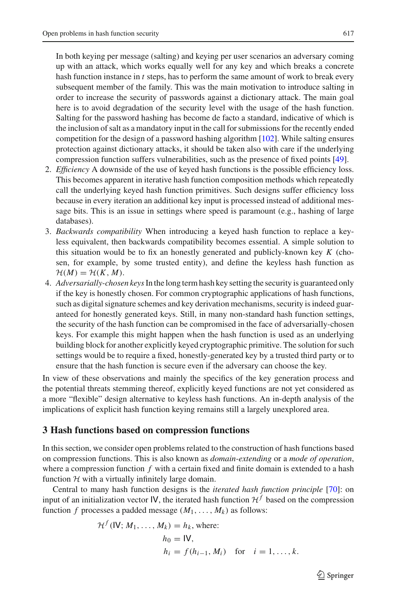up with an attack, which works equally well for any key and which breaks a concrete hash function instance in *t* steps, has to perform the same amount of work to break every subsequent member of the family. This was the main motivation to introduce salting in order to increase the security of passwords against a dictionary attack. The main goal here is to avoid degradation of the security level with the usage of the hash function. Salting for the password hashing has become de facto a standard, indicative of which is the inclusion of salt as a mandatory input in the call for submissions for the recently ended competition for the design of a password hashing algorithm  $[102]$ . While salting ensures protection against dictionary attacks, it should be taken also with care if the underlying compression function suffers vulnerabilities, such as the presence of fixed points [\[49\]](#page-16-8).

- 2. *Efficiency* A downside of the use of keyed hash functions is the possible efficiency loss. This becomes apparent in iterative hash function composition methods which repeatedly call the underlying keyed hash function primitives. Such designs suffer efficiency loss because in every iteration an additional key input is processed instead of additional message bits. This is an issue in settings where speed is paramount (e.g., hashing of large databases).
- 3. *Backwards compatibility* When introducing a keyed hash function to replace a keyless equivalent, then backwards compatibility becomes essential. A simple solution to this situation would be to fix an honestly generated and publicly-known key *K* (chosen, for example, by some trusted entity), and define the keyless hash function as  $\mathcal{H}(M) = \mathcal{H}(K, M).$
- 4. *Adversarially-chosen keys*In the long term hash key setting the security is guaranteed only if the key is honestly chosen. For common cryptographic applications of hash functions, such as digital signature schemes and key derivation mechanisms, security is indeed guaranteed for honestly generated keys. Still, in many non-standard hash function settings, the security of the hash function can be compromised in the face of adversarially-chosen keys. For example this might happen when the hash function is used as an underlying building block for another explicitly keyed cryptographic primitive. The solution for such settings would be to require a fixed, honestly-generated key by a trusted third party or to ensure that the hash function is secure even if the adversary can choose the key.

In view of these observations and mainly the specifics of the key generation process and the potential threats stemming thereof, explicitly keyed functions are not yet considered as a more "flexible" design alternative to keyless hash functions. An in-depth analysis of the implications of explicit hash function keying remains still a largely unexplored area.

# <span id="page-6-0"></span>**3 Hash functions based on compression functions**

In this section, we consider open problems related to the construction of hash functions based on compression functions. This is also known as *domain-extending* or a *mode of operation*, where a compression function *f* with a certain fixed and finite domain is extended to a hash function  $H$  with a virtually infinitely large domain.

Central to many hash function designs is the *iterated hash function principle* [\[70](#page-17-2)]: on input of an initialization vector IV, the iterated hash function  $H<sup>f</sup>$  based on the compression function *f* processes a padded message  $(M_1, \ldots, M_k)$  as follows:

$$
\mathcal{H}^{f}(\mathsf{IV}; M_1, \dots, M_k) = h_k, \text{ where:}
$$
  
\n
$$
h_0 = \mathsf{IV},
$$
  
\n
$$
h_i = f(h_{i-1}, M_i) \text{ for } i = 1, \dots, k.
$$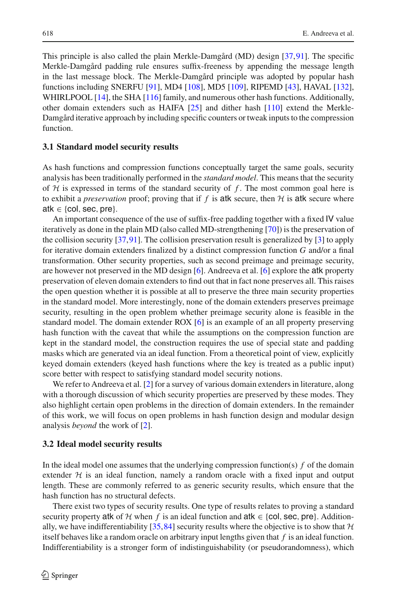This principle is also called the plain Merkle-Damgård (MD) design [\[37,](#page-16-9)[91](#page-18-8)]. The specific Merkle-Damgård padding rule ensures suffix-freeness by appending the message length in the last message block. The Merkle-Damgård principle was adopted by popular hash functions including SNERFU [\[91\]](#page-18-8), MD4 [\[108](#page-19-1)], MD5 [\[109](#page-19-2)], RIPEMD [\[43](#page-16-10)], HAVAL [\[132\]](#page-20-2), WHIRLPOOL [\[14](#page-15-0)], the SHA [\[116](#page-19-9)] family, and numerous other hash functions. Additionally, other domain extenders such as HAIFA [\[25](#page-15-5)] and dither hash [\[110\]](#page-19-10) extend the Merkle-Damgård iterative approach by including specific counters or tweak inputs to the compression function.

#### **3.1 Standard model security results**

As hash functions and compression functions conceptually target the same goals, security analysis has been traditionally performed in the *standard model*. This means that the security of *H* is expressed in terms of the standard security of *f* . The most common goal here is to exhibit a *preservation* proof; proving that if  $f$  is atk secure, then  $H$  is atk secure where atk  $\in$  {col, sec, pre}.

An important consequence of the use of suffix-free padding together with a fixed IV value iteratively as done in the plain MD (also called MD-strengthening [\[70\]](#page-17-2)) is the preservation of the collision security [\[37](#page-16-9)[,91\]](#page-18-8). The collision preservation result is generalized by [\[3](#page-14-2)] to apply for iterative domain extenders finalized by a distinct compression function *G* and/or a final transformation. Other security properties, such as second preimage and preimage security, are however not preserved in the MD design [\[6\]](#page-14-3). Andreeva et al. [\[6\]](#page-14-3) explore the atk property preservation of eleven domain extenders to find out that in fact none preserves all. This raises the open question whether it is possible at all to preserve the three main security properties in the standard model. More interestingly, none of the domain extenders preserves preimage security, resulting in the open problem whether preimage security alone is feasible in the standard model. The domain extender ROX [\[6\]](#page-14-3) is an example of an all property preserving hash function with the caveat that while the assumptions on the compression function are kept in the standard model, the construction requires the use of special state and padding masks which are generated via an ideal function. From a theoretical point of view, explicitly keyed domain extenders (keyed hash functions where the key is treated as a public input) score better with respect to satisfying standard model security notions.

We refer to Andreeva et al. [\[2](#page-14-4)] for a survey of various domain extenders in literature, along with a thorough discussion of which security properties are preserved by these modes. They also highlight certain open problems in the direction of domain extenders. In the remainder of this work, we will focus on open problems in hash function design and modular design analysis *beyond* the work of [\[2\]](#page-14-4).

#### **3.2 Ideal model security results**

In the ideal model one assumes that the underlying compression function(s) *f* of the domain extender  $H$  is an ideal function, namely a random oracle with a fixed input and output length. These are commonly referred to as generic security results, which ensure that the hash function has no structural defects.

There exist two types of security results. One type of results relates to proving a standard security property atk of *H* when *f* is an ideal function and atk  $\in$  {col, sec, pre}. Addition-ally, we have indifferentiability [\[35,](#page-16-2)[84](#page-18-2)] security results where the objective is to show that  $H$ itself behaves like a random oracle on arbitrary input lengths given that *f* is an ideal function. Indifferentiability is a stronger form of indistinguishability (or pseudorandomness), which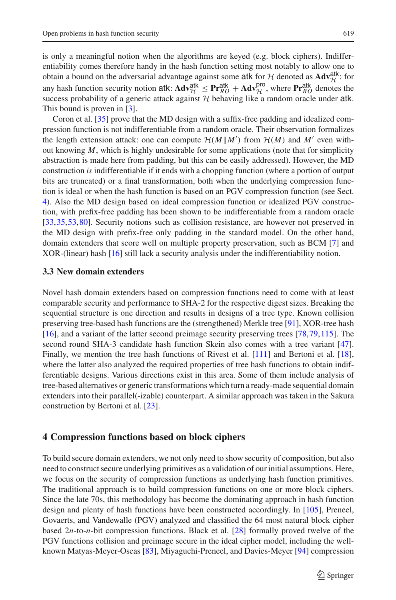is only a meaningful notion when the algorithms are keyed (e.g. block ciphers). Indifferentiability comes therefore handy in the hash function setting most notably to allow one to obtain a bound on the adversarial advantage against some atk for *H* denoted as  $\mathbf{Adv}_{\mathcal{H}}^{\text{atk}}$ : for any hash function security notion atk:  $\mathbf{A} \mathbf{v}_{\mathcal{H}}^{\text{atk}} \leq \mathbf{P} \mathbf{r}_{\mathcal{R}}^{\text{atk}} + \mathbf{A} \mathbf{d} \mathbf{v}_{\mathcal{H}}^{\text{pro}},$  where  $\mathbf{P} \mathbf{r}_{\mathcal{R}}^{\text{atk}}$  denotes the success probability of a generic attack against  $H$  behaving like a random oracle under atk. This bound is proven in [\[3](#page-14-2)].

Coron et al. [\[35\]](#page-16-2) prove that the MD design with a suffix-free padding and idealized compression function is not indifferentiable from a random oracle. Their observation formalizes the length extension attack: one can compute  $\mathcal{H}(M|M')$  from  $\mathcal{H}(M)$  and  $M'$  even without knowing *M*, which is highly undesirable for some applications (note that for simplicity abstraction is made here from padding, but this can be easily addressed). However, the MD construction *is* indifferentiable if it ends with a chopping function (where a portion of output bits are truncated) or a final transformation, both when the underlying compression function is ideal or when the hash function is based on an PGV compression function (see Sect. [4\)](#page-8-0). Also the MD design based on ideal compression function or idealized PGV construction, with prefix-free padding has been shown to be indifferentiable from a random oracle [\[33,](#page-16-11)[35](#page-16-2)[,53](#page-16-12)[,80\]](#page-18-9). Security notions such as collision resistance, are however not preserved in the MD design with prefix-free only padding in the standard model. On the other hand, domain extenders that score well on multiple property preservation, such as BCM [\[7](#page-14-5)] and XOR-(linear) hash [\[16\]](#page-15-6) still lack a security analysis under the indifferentiability notion.

### **3.3 New domain extenders**

Novel hash domain extenders based on compression functions need to come with at least comparable security and performance to SHA-2 for the respective digest sizes. Breaking the sequential structure is one direction and results in designs of a tree type. Known collision preserving tree-based hash functions are the (strengthened) Merkle tree [\[91\]](#page-18-8), XOR-tree hash [\[16\]](#page-15-6), and a variant of the latter second preimage security preserving trees [\[78](#page-17-3)[,79](#page-17-4)[,115](#page-19-11)]. The second round SHA-3 candidate hash function Skein also comes with a tree variant [\[47\]](#page-16-13). Finally, we mention the tree hash functions of Rivest et al. [\[111](#page-19-12)] and Bertoni et al. [\[18\]](#page-15-7), where the latter also analyzed the required properties of tree hash functions to obtain indifferentiable designs. Various directions exist in this area. Some of them include analysis of tree-based alternatives or generic transformations which turn a ready-made sequential domain extenders into their parallel(-izable) counterpart. A similar approach was taken in the Sakura construction by Bertoni et al. [\[23](#page-15-8)].

# <span id="page-8-0"></span>**4 Compression functions based on block ciphers**

To build secure domain extenders, we not only need to show security of composition, but also need to construct secure underlying primitives as a validation of our initial assumptions. Here, we focus on the security of compression functions as underlying hash function primitives. The traditional approach is to build compression functions on one or more block ciphers. Since the late 70s, this methodology has become the dominating approach in hash function design and plenty of hash functions have been constructed accordingly. In [\[105\]](#page-19-0), Preneel, Govaerts, and Vandewalle (PGV) analyzed and classified the 64 most natural block cipher based 2*n*-to-*n*-bit compression functions. Black et al. [\[28](#page-15-9)] formally proved twelve of the PGV functions collision and preimage secure in the ideal cipher model, including the wellknown Matyas-Meyer-Oseas [\[83\]](#page-18-10), Miyaguchi-Preneel, and Davies-Meyer [\[94\]](#page-18-11) compression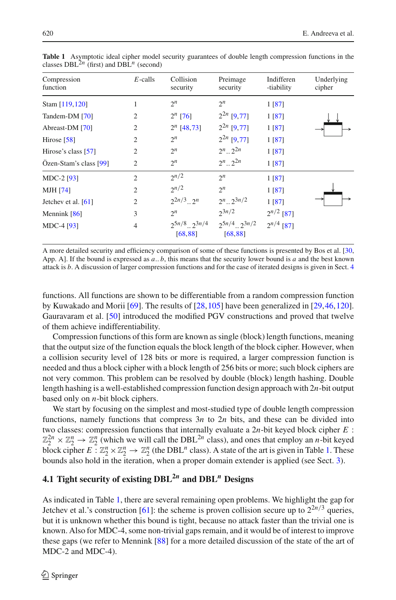| Compression<br>function | $E$ -calls     | Collision<br>security             | Preimage<br>security              | Indifferen<br>-tiability | Underlying<br>cipher |
|-------------------------|----------------|-----------------------------------|-----------------------------------|--------------------------|----------------------|
| Stam [119,120]          | 1              | $2^n$                             | $2^n$                             | 1 [87]                   |                      |
| Tandem-DM [70]          | $\overline{2}$ | $2^n$ [76]                        | $2^{2n}$ [9,77]                   | 1 [87]                   |                      |
| Abreast-DM [70]         | $\overline{2}$ | $2^n$ [48,73]                     | $2^{2n}$ [9,77]                   | 1 [87]                   |                      |
| Hirose $[58]$           | $\overline{2}$ | $2^n$                             | $2^{2n}$ [9,77]                   | 1 [87]                   |                      |
| Hirose's class [57]     | $\overline{2}$ | $2^n$                             | $2^n$ $2^{2n}$                    | 1 [87]                   |                      |
| Özen-Stam's class [99]  | $\overline{2}$ | $2^n$                             | $2^n$ $2^{2n}$                    | 1 [87]                   |                      |
| $MDC-2$ [93]            | $\overline{2}$ | 2n/2                              | $2^n$                             | 1 [87]                   |                      |
| MJH [74]                | $\overline{2}$ | 2n/2                              | $2^n$                             | 1 [87]                   |                      |
| Jetchev et al. $[61]$   | $\overline{2}$ | $2^{2n/3}$ $2^n$                  | $2^n$ . $2^{3n/2}$                | 1 [87]                   |                      |
| Mennink $[86]$          | 3              | $2^n$                             | $2^{3n/2}$                        | $2^{n/2}$ [87]           |                      |
| MDC-4 [93]              | $\overline{4}$ | $2^{5n/8}$ $2^{3n/4}$<br>[68, 88] | $2^{5n/4}$ $2^{3n/2}$<br>[68, 88] | $2^{n/4}$ [87]           |                      |
|                         |                |                                   |                                   |                          |                      |

<span id="page-9-0"></span>**Table 1** Asymptotic ideal cipher model security guarantees of double length compression functions in the classes  $DBL^{2n}$  (first) and  $DBL^{n}$  (second)

A more detailed security and efficiency comparison of some of these functions is presented by Bos et al. [\[30](#page-15-11), App. A]. If the bound is expressed as *a*.. *b*, this means that the security lower bound is *a* and the best known attack is *b*. A discussion of larger compression functions and for the case of iterated designs is given in Sect. [4](#page-8-0)

functions. All functions are shown to be differentiable from a random compression function by Kuwakado and Morii [\[69\]](#page-17-13). The results of [\[28,](#page-15-9)[105\]](#page-19-0) have been generalized in [\[29,](#page-15-12)[46](#page-16-15)[,120\]](#page-19-14). Gauravaram et al. [\[50\]](#page-16-16) introduced the modified PGV constructions and proved that twelve of them achieve indifferentiability.

Compression functions of this form are known as single (block) length functions, meaning that the output size of the function equals the block length of the block cipher. However, when a collision security level of 128 bits or more is required, a larger compression function is needed and thus a block cipher with a block length of 256 bits or more; such block ciphers are not very common. This problem can be resolved by double (block) length hashing. Double length hashing is a well-established compression function design approach with 2*n*-bit output based only on *n*-bit block ciphers.

We start by focusing on the simplest and most-studied type of double length compression functions, namely functions that compress 3*n* to 2*n* bits, and these can be divided into two classes: compression functions that internally evaluate a 2*n*-bit keyed block cipher *E* :  $\mathbb{Z}_2^{2n} \times \mathbb{Z}_2^n \to \mathbb{Z}_2^n$  (which we will call the DBL<sup>2*n*</sup> class), and ones that employ an *n*-bit keyed block cipher  $E: \mathbb{Z}_2^n \times \mathbb{Z}_2^n \to \mathbb{Z}_2^n$  (the DBL<sup>n</sup> class). A state of the art is given in Table [1.](#page-9-0) These bounds also hold in the iteration, when a proper domain extender is applied (see Sect. [3\)](#page-6-0).

# **4.1 Tight security of existing DBL2***<sup>n</sup>* **and DBL***<sup>n</sup>* **Designs**

As indicated in Table [1,](#page-9-0) there are several remaining open problems. We highlight the gap for Jetchev et al.'s construction [\[61](#page-17-11)]: the scheme is proven collision secure up to  $2^{2n/3}$  queries, but it is unknown whether this bound is tight, because no attack faster than the trivial one is known. Also for MDC-4, some non-trivial gaps remain, and it would be of interest to improve these gaps (we refer to Mennink [\[88\]](#page-18-16) for a more detailed discussion of the state of the art of MDC-2 and MDC-4).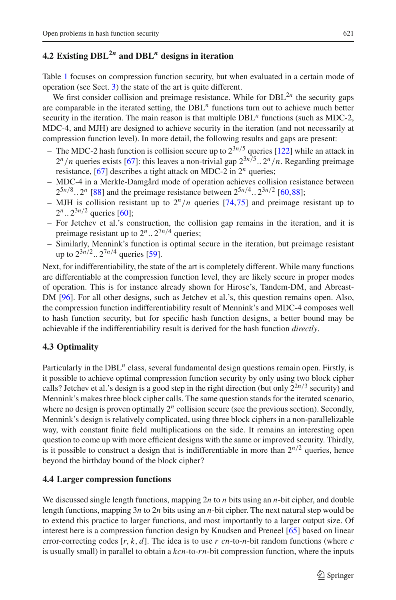# **4.2 Existing DBL2***<sup>n</sup>* **and DBL***<sup>n</sup>* **designs in iteration**

Table [1](#page-9-0) focuses on compression function security, but when evaluated in a certain mode of operation (see Sect. [3\)](#page-6-0) the state of the art is quite different.

We first consider collision and preimage resistance. While for  $DBL<sup>2n</sup>$  the security gaps are comparable in the iterated setting, the DBL*<sup>n</sup>* functions turn out to achieve much better security in the iteration. The main reason is that multiple DBL<sup>n</sup> functions (such as MDC-2, MDC-4, and MJH) are designed to achieve security in the iteration (and not necessarily at compression function level). In more detail, the following results and gaps are present:

- The MDC-2 hash function is collision secure up to  $2^{3n/5}$  queries [\[122\]](#page-19-15) while an attack in  $2^n/n$  queries exists [\[67](#page-17-14)]: this leaves a non-trivial gap  $2^{3n/5}$ ..  $2^n/n$ . Regarding preimage resistance, [\[67\]](#page-17-14) describes a tight attack on MDC-2 in 2*<sup>n</sup>* queries;
- MDC-4 in a Merkle-Damgård mode of operation achieves collision resistance between  $2^{5n/8}$ ..  $2^n$  [\[88\]](#page-18-16) and the preimage resistance between  $2^{5n/4}$ ..  $2^{3n/2}$  [\[60](#page-17-15)[,88](#page-18-16)];
- MJH is collision resistant up to  $2^n/n$  queries [\[74](#page-17-10)[,75](#page-17-16)] and preimage resistant up to  $2^n$ ..  $2^{3n/2}$  queries [\[60\]](#page-17-15);
- For Jetchev et al.'s construction, the collision gap remains in the iteration, and it is preimage resistant up to  $2^n$ ..  $2^{7n/4}$  queries;
- Similarly, Mennink's function is optimal secure in the iteration, but preimage resistant up to  $2^{3n/2}$ ..  $2^{7n/4}$  queries [\[59\]](#page-17-17).

Next, for indifferentiability, the state of the art is completely different. While many functions are differentiable at the compression function level, they are likely secure in proper modes of operation. This is for instance already shown for Hirose's, Tandem-DM, and Abreast-DM [\[96](#page-18-17)]. For all other designs, such as Jetchev et al.'s, this question remains open. Also, the compression function indifferentiability result of Mennink's and MDC-4 composes well to hash function security, but for specific hash function designs, a better bound may be achievable if the indifferentiability result is derived for the hash function *directly*.

# **4.3 Optimality**

Particularly in the DBL<sup>n</sup> class, several fundamental design questions remain open. Firstly, is it possible to achieve optimal compression function security by only using two block cipher calls? Jetchev et al.'s design is a good step in the right direction (but only  $2^{2n/3}$  security) and Mennink's makes three block cipher calls. The same question stands for the iterated scenario, where no design is proven optimally  $2^n$  collision secure (see the previous section). Secondly, Mennink's design is relatively complicated, using three block ciphers in a non-parallelizable way, with constant finite field multiplications on the side. It remains an interesting open question to come up with more efficient designs with the same or improved security. Thirdly, is it possible to construct a design that is indifferentiable in more than  $2^{n/2}$  queries, hence beyond the birthday bound of the block cipher?

# **4.4 Larger compression functions**

We discussed single length functions, mapping 2*n* to *n* bits using an *n*-bit cipher, and double length functions, mapping 3*n* to 2*n* bits using an *n*-bit cipher. The next natural step would be to extend this practice to larger functions, and most importantly to a larger output size. Of interest here is a compression function design by Knudsen and Preneel [\[65](#page-17-18)] based on linear error-correcting codes [*r*, *k*, *d*]. The idea is to use *r cn*-to-*n*-bit random functions (where *c* is usually small) in parallel to obtain a *kcn*-to-*r n*-bit compression function, where the inputs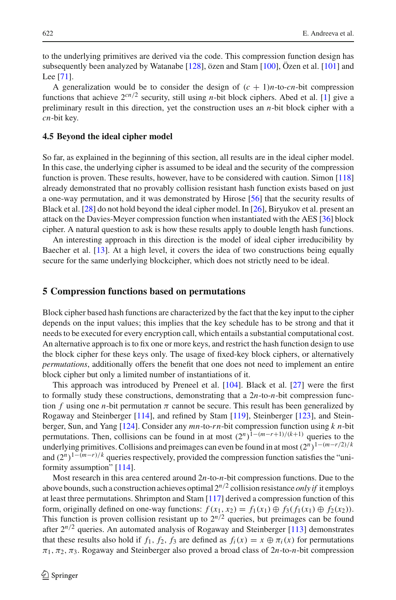to the underlying primitives are derived via the code. This compression function design has subsequently been analyzed by Watanabe [\[128](#page-19-16)], özen and Stam [\[100](#page-18-18)], Özen et al. [\[101\]](#page-18-19) and Lee [\[71](#page-17-19)].

A generalization would be to consider the design of  $(c + 1)n$ -to-*cn*-bit compression functions that achieve  $2^{cn/2}$  security, still using *n*-bit block ciphers. Abed et al. [\[1\]](#page-14-6) give a preliminary result in this direction, yet the construction uses an *n*-bit block cipher with a *cn*-bit key.

#### **4.5 Beyond the ideal cipher model**

So far, as explained in the beginning of this section, all results are in the ideal cipher model. In this case, the underlying cipher is assumed to be ideal and the security of the compression function is proven. These results, however, have to be considered with caution. Simon [\[118\]](#page-19-17) already demonstrated that no provably collision resistant hash function exists based on just a one-way permutation, and it was demonstrated by Hirose [\[56](#page-17-20)] that the security results of Black et al. [\[28](#page-15-9)] do not hold beyond the ideal cipher model. In [\[26\]](#page-15-13), Biryukov et al. present an attack on the Davies-Meyer compression function when instantiated with the AES [\[36](#page-16-17)] block cipher. A natural question to ask is how these results apply to double length hash functions.

An interesting approach in this direction is the model of ideal cipher irreducibility by Baecher et al. [\[13](#page-15-14)]. At a high level, it covers the idea of two constructions being equally secure for the same underlying blockcipher, which does not strictly need to be ideal.

#### <span id="page-11-0"></span>**5 Compression functions based on permutations**

Block cipher based hash functions are characterized by the fact that the key input to the cipher depends on the input values; this implies that the key schedule has to be strong and that it needs to be executed for every encryption call, which entails a substantial computational cost. An alternative approach is to fix one or more keys, and restrict the hash function design to use the block cipher for these keys only. The usage of fixed-key block ciphers, or alternatively *permutations*, additionally offers the benefit that one does not need to implement an entire block cipher but only a limited number of instantiations of it.

This approach was introduced by Preneel et al. [\[104](#page-18-20)]. Black et al. [\[27\]](#page-15-15) were the first to formally study these constructions, demonstrating that a 2*n*-to-*n*-bit compression function *f* using one *n*-bit permutation  $\pi$  cannot be secure. This result has been generalized by Rogaway and Steinberger [\[114](#page-19-18)], and refined by Stam [\[119\]](#page-19-13), Steinberger [\[123](#page-19-19)], and Steinberger, Sun, and Yang [\[124\]](#page-19-20). Consider any *mn*-to-*r n*-bit compression function using *k n*-bit permutations. Then, collisions can be found in at most  $(2^n)^{1-(m-r+1)/(k+1)}$  queries to the underlying primitives. Collisions and preimages can even be found in at most  $(2^n)^{1-(m-r/2)/k}$ and  $(2^n)^{1-(m-r)/k}$  queries respectively, provided the compression function satisfies the "uniformity assumption" [\[114\]](#page-19-18).

Most research in this area centered around 2*n*-to-*n*-bit compression functions. Due to the above bounds, such a construction achieves optimal 2*n*/<sup>2</sup> collision resistance *only if* it employs at least three permutations. Shrimpton and Stam [\[117\]](#page-19-21) derived a compression function of this form, originally defined on one-way functions:  $f(x_1, x_2) = f_1(x_1) \oplus f_3(f_1(x_1) \oplus f_2(x_2))$ . This function is proven collision resistant up to  $2^{n/2}$  queries, but preimages can be found after  $2^{n/2}$  queries. An automated analysis of Rogaway and Steinberger [\[113](#page-19-22)] demonstrates that these results also hold if  $f_1$ ,  $f_2$ ,  $f_3$  are defined as  $f_i(x) = x \oplus \pi_i(x)$  for permutations  $\pi_1$ ,  $\pi_2$ ,  $\pi_3$ . Rogaway and Steinberger also proved a broad class of  $2n$ -to-*n*-bit compression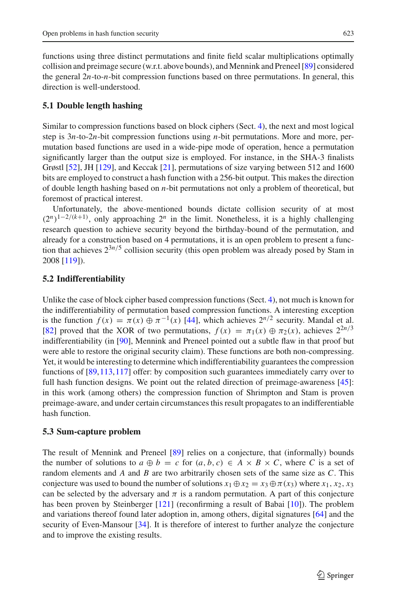functions using three distinct permutations and finite field scalar multiplications optimally collision and preimage secure (w.r.t. above bounds), and Mennink and Preneel [\[89\]](#page-18-21) considered the general 2*n*-to-*n*-bit compression functions based on three permutations. In general, this direction is well-understood.

### **5.1 Double length hashing**

Similar to compression functions based on block ciphers (Sect. [4\)](#page-8-0), the next and most logical step is 3*n*-to-2*n*-bit compression functions using *n*-bit permutations. More and more, permutation based functions are used in a wide-pipe mode of operation, hence a permutation significantly larger than the output size is employed. For instance, in the SHA-3 finalists Grøstl [\[52\]](#page-16-18), JH [\[129\]](#page-19-23), and Keccak [\[21](#page-15-3)], permutations of size varying between 512 and 1600 bits are employed to construct a hash function with a 256-bit output. This makes the direction of double length hashing based on *n*-bit permutations not only a problem of theoretical, but foremost of practical interest.

Unfortunately, the above-mentioned bounds dictate collision security of at most  $(2^n)^{1-2/(k+1)}$ , only approaching  $2^n$  in the limit. Nonetheless, it is a highly challenging research question to achieve security beyond the birthday-bound of the permutation, and already for a construction based on 4 permutations, it is an open problem to present a function that achieves  $2^{3n/5}$  collision security (this open problem was already posed by Stam in 2008 [\[119\]](#page-19-13)).

# **5.2 Indifferentiability**

Unlike the case of block cipher based compression functions (Sect. [4\)](#page-8-0), not much is known for the indifferentiability of permutation based compression functions. A interesting exception is the function  $f(x) = \pi(x) \oplus \pi^{-1}(x)$  [\[44\]](#page-16-19), which achieves  $2^{n/2}$  security. Mandal et al. [\[82\]](#page-18-22) proved that the XOR of two permutations,  $f(x) = \pi_1(x) \oplus \pi_2(x)$ , achieves  $2^{2n/3}$ indifferentiability (in [\[90](#page-18-23)], Mennink and Preneel pointed out a subtle flaw in that proof but were able to restore the original security claim). These functions are both non-compressing. Yet, it would be interesting to determine which indifferentiability guarantees the compression functions of [\[89,](#page-18-21)[113](#page-19-22)[,117](#page-19-21)] offer: by composition such guarantees immediately carry over to full hash function designs. We point out the related direction of preimage-awareness [\[45](#page-16-3)]: in this work (among others) the compression function of Shrimpton and Stam is proven preimage-aware, and under certain circumstances this result propagates to an indifferentiable hash function.

### **5.3 Sum-capture problem**

The result of Mennink and Preneel [\[89](#page-18-21)] relies on a conjecture, that (informally) bounds the number of solutions to  $a \oplus b = c$  for  $(a, b, c) \in A \times B \times C$ , where *C* is a set of random elements and *A* and *B* are two arbitrarily chosen sets of the same size as *C*. This conjecture was used to bound the number of solutions  $x_1 \oplus x_2 = x_3 \oplus \pi(x_3)$  where  $x_1, x_2, x_3$ can be selected by the adversary and  $\pi$  is a random permutation. A part of this conjecture has been proven by Steinberger [\[121\]](#page-19-24) (reconfirming a result of Babai [\[10\]](#page-15-16)). The problem and variations thereof found later adoption in, among others, digital signatures [\[64\]](#page-17-21) and the security of Even-Mansour [\[34\]](#page-16-20). It is therefore of interest to further analyze the conjecture and to improve the existing results.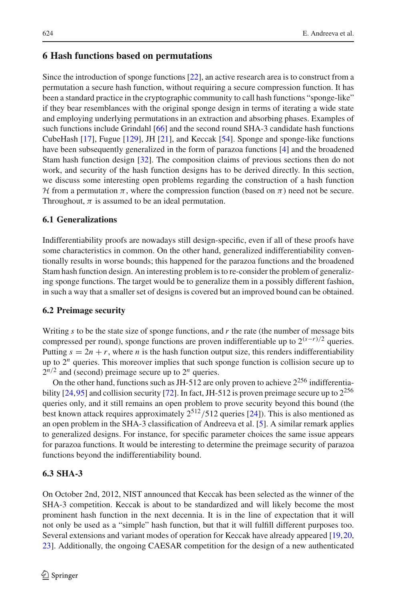# <span id="page-13-0"></span>**6 Hash functions based on permutations**

Since the introduction of sponge functions [\[22](#page-15-1)], an active research area is to construct from a permutation a secure hash function, without requiring a secure compression function. It has been a standard practice in the cryptographic community to call hash functions "sponge-like" if they bear resemblances with the original sponge design in terms of iterating a wide state and employing underlying permutations in an extraction and absorbing phases. Examples of such functions include Grindahl [\[66\]](#page-17-22) and the second round SHA-3 candidate hash functions CubeHash [\[17\]](#page-15-17), Fugue [\[129\]](#page-19-23), JH [\[21\]](#page-15-3), and Keccak [\[54\]](#page-16-21). Sponge and sponge-like functions have been subsequently generalized in the form of parazoa functions [\[4\]](#page-14-7) and the broadened Stam hash function design [\[32](#page-16-22)]. The composition claims of previous sections then do not work, and security of the hash function designs has to be derived directly. In this section, we discuss some interesting open problems regarding the construction of a hash function *H* from a permutation  $\pi$ , where the compression function (based on  $\pi$ ) need not be secure. Throughout,  $\pi$  is assumed to be an ideal permutation.

### **6.1 Generalizations**

Indifferentiability proofs are nowadays still design-specific, even if all of these proofs have some characteristics in common. On the other hand, generalized indifferentiability conventionally results in worse bounds; this happened for the parazoa functions and the broadened Stam hash function design. An interesting problem is to re-consider the problem of generalizing sponge functions. The target would be to generalize them in a possibly different fashion, in such a way that a smaller set of designs is covered but an improved bound can be obtained.

### **6.2 Preimage security**

Writing *s* to be the state size of sponge functions, and *r* the rate (the number of message bits compressed per round), sponge functions are proven indifferentiable up to  $2^{(s-r)/2}$  queries. Putting  $s = 2n + r$ , where *n* is the hash function output size, this renders indifferentiability up to  $2<sup>n</sup>$  queries. This moreover implies that such sponge function is collision secure up to  $2^{n/2}$  and (second) preimage secure up to  $2^n$  queries.

On the other hand, functions such as JH-512 are only proven to achieve  $2^{256}$  indifferentiability  $[24,95]$  $[24,95]$  $[24,95]$  and collision security  $[72]$  $[72]$ . In fact, JH-512 is proven preimage secure up to  $2^{256}$ queries only, and it still remains an open problem to prove security beyond this bound (the best known attack requires approximately  $2^{512}/512$  queries [\[24\]](#page-15-18)). This is also mentioned as an open problem in the SHA-3 classification of Andreeva et al. [\[5](#page-14-8)]. A similar remark applies to generalized designs. For instance, for specific parameter choices the same issue appears for parazoa functions. It would be interesting to determine the preimage security of parazoa functions beyond the indifferentiability bound.

# **6.3 SHA-3**

On October 2nd, 2012, NIST announced that Keccak has been selected as the winner of the SHA-3 competition. Keccak is about to be standardized and will likely become the most prominent hash function in the next decennia. It is in the line of expectation that it will not only be used as a "simple" hash function, but that it will fulfill different purposes too. Several extensions and variant modes of operation for Keccak have already appeared [\[19](#page-15-19)[,20,](#page-15-20) [23\]](#page-15-8). Additionally, the ongoing CAESAR competition for the design of a new authenticated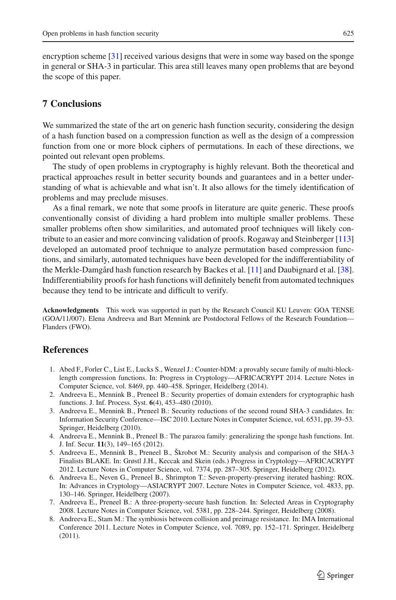encryption scheme [\[31\]](#page-15-21) received various designs that were in some way based on the sponge in general or SHA-3 in particular. This area still leaves many open problems that are beyond the scope of this paper.

# <span id="page-14-0"></span>**7 Conclusions**

We summarized the state of the art on generic hash function security, considering the design of a hash function based on a compression function as well as the design of a compression function from one or more block ciphers of permutations. In each of these directions, we pointed out relevant open problems.

The study of open problems in cryptography is highly relevant. Both the theoretical and practical approaches result in better security bounds and guarantees and in a better understanding of what is achievable and what isn't. It also allows for the timely identification of problems and may preclude misuses.

As a final remark, we note that some proofs in literature are quite generic. These proofs conventionally consist of dividing a hard problem into multiple smaller problems. These smaller problems often show similarities, and automated proof techniques will likely contribute to an easier and more convincing validation of proofs. Rogaway and Steinberger [\[113\]](#page-19-22) developed an automated proof technique to analyze permutation based compression functions, and similarly, automated techniques have been developed for the indifferentiability of the Merkle-Damgård hash function research by Backes et al. [\[11\]](#page-15-22) and Daubignard et al. [\[38\]](#page-16-23). Indifferentiability proofs for hash functions will definitely benefit from automated techniques because they tend to be intricate and difficult to verify.

**Acknowledgments** This work was supported in part by the Research Council KU Leuven: GOA TENSE (GOA/11/007). Elena Andreeva and Bart Mennink are Postdoctoral Fellows of the Research Foundation— Flanders (FWO).

# <span id="page-14-6"></span>**References**

- 1. Abed F., Forler C., List E., Lucks S., Wenzel J.: Counter-bDM: a provably secure family of multi-blocklength compression functions. In: Progress in Cryptology—AFRICACRYPT 2014. Lecture Notes in Computer Science, vol. 8469, pp. 440–458. Springer, Heidelberg (2014).
- <span id="page-14-4"></span>2. Andreeva E., Mennink B., Preneel B.: Security properties of domain extenders for cryptographic hash functions. J. Inf. Process. Syst. **6**(4), 453–480 (2010).
- <span id="page-14-2"></span>3. Andreeva E., Mennink B., Preneel B.: Security reductions of the second round SHA-3 candidates. In: Information Security Conference—ISC 2010. Lecture Notes in Computer Science, vol. 6531, pp. 39–53. Springer, Heidelberg (2010).
- <span id="page-14-7"></span>4. Andreeva E., Mennink B., Preneel B.: The parazoa family: generalizing the sponge hash functions. Int. J. Inf. Secur. **11**(3), 149–165 (2012).
- <span id="page-14-8"></span>5. Andreeva E., Mennink B., Preneel B., Škrobot M.: Security analysis and comparison of the SHA-3 Finalists BLAKE. In: Grøstl J.H., Keccak and Skein (eds.) Progress in Cryptology—AFRICACRYPT 2012. Lecture Notes in Computer Science, vol. 7374, pp. 287–305. Springer, Heidelberg (2012).
- <span id="page-14-3"></span>6. Andreeva E., Neven G., Preneel B., Shrimpton T.: Seven-property-preserving iterated hashing: ROX. In: Advances in Cryptology—ASIACRYPT 2007. Lecture Notes in Computer Science, vol. 4833, pp. 130–146. Springer, Heidelberg (2007).
- <span id="page-14-5"></span>7. Andreeva E., Preneel B.: A three-property-secure hash function. In: Selected Areas in Cryptography 2008. Lecture Notes in Computer Science, vol. 5381, pp. 228–244. Springer, Heidelberg (2008).
- <span id="page-14-1"></span>8. Andreeva E., Stam M.: The symbiosis between collision and preimage resistance. In: IMA International Conference 2011. Lecture Notes in Computer Science, vol. 7089, pp. 152–171. Springer, Heidelberg (2011).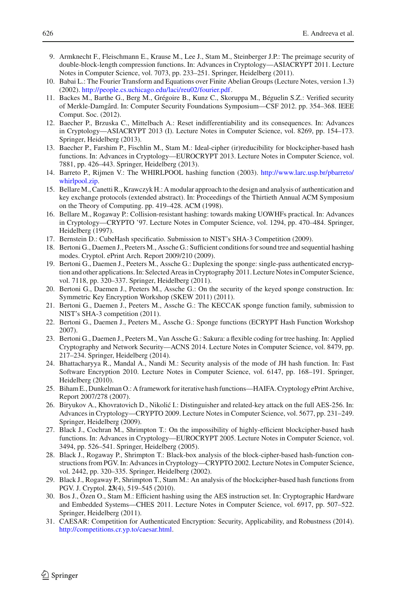- <span id="page-15-10"></span>9. Armknecht F., Fleischmann E., Krause M., Lee J., Stam M., Steinberger J.P.: The preimage security of double-block-length compression functions. In: Advances in Cryptology—ASIACRYPT 2011. Lecture Notes in Computer Science, vol. 7073, pp. 233–251. Springer, Heidelberg (2011).
- <span id="page-15-16"></span>10. Babai L.: The Fourier Transform and Equations over Finite Abelian Groups (Lecture Notes, version 1.3) (2002). [http://people.cs.uchicago.edu/laci/reu02/fourier.pdf.](http://people.cs.uchicago.edu/laci/reu02/fourier.pdf)
- <span id="page-15-22"></span>11. Backes M., Barthe G., Berg M., Grégoire B., Kunz C., Skoruppa M., Béguelin S.Z.: Verified security of Merkle-Damgård. In: Computer Security Foundations Symposium—CSF 2012. pp. 354–368. IEEE Comput. Soc. (2012).
- <span id="page-15-2"></span>12. Baecher P., Brzuska C., Mittelbach A.: Reset indifferentiability and its consequences. In: Advances in Cryptology—ASIACRYPT 2013 (I). Lecture Notes in Computer Science, vol. 8269, pp. 154–173. Springer, Heidelberg (2013).
- <span id="page-15-14"></span>13. Baecher P., Farshim P., Fischlin M., Stam M.: Ideal-cipher (ir)reducibility for blockcipher-based hash functions. In: Advances in Cryptology—EUROCRYPT 2013. Lecture Notes in Computer Science, vol. 7881, pp. 426–443. Springer, Heidelberg (2013).
- <span id="page-15-0"></span>14. Barreto P., Rijmen V.: The WHIRLPOOL hashing function (2003). [http://www.larc.usp.br/pbarreto/](http://www.larc.usp.br/pbarreto/whirlpool.zip) [whirlpool.zip.](http://www.larc.usp.br/pbarreto/whirlpool.zip)
- <span id="page-15-4"></span>15. Bellare M., Canetti R., Krawczyk H.: A modular approach to the design and analysis of authentication and key exchange protocols (extended abstract). In: Proceedings of the Thirtieth Annual ACM Symposium on the Theory of Computing. pp. 419–428. ACM (1998).
- <span id="page-15-6"></span>16. Bellare M., Rogaway P.: Collision-resistant hashing: towards making UOWHFs practical. In: Advances in Cryptology—CRYPTO '97. Lecture Notes in Computer Science, vol. 1294, pp. 470–484. Springer, Heidelberg (1997).
- <span id="page-15-17"></span>17. Bernstein D.: CubeHash specificatio. Submission to NIST's SHA-3 Competition (2009).
- <span id="page-15-7"></span>18. Bertoni G., Daemen J., Peeters M., Assche G.: Sufficient conditions for sound tree and sequential hashing modes. Cryptol. ePrint Arch. Report 2009/210 (2009).
- <span id="page-15-19"></span>19. Bertoni G., Daemen J., Peeters M., Assche G.: Duplexing the sponge: single-pass authenticated encryption and other applications. In: Selected Areas in Cryptography 2011. Lecture Notes in Computer Science, vol. 7118, pp. 320–337. Springer, Heidelberg (2011).
- <span id="page-15-20"></span>20. Bertoni G., Daemen J., Peeters M., Assche G.: On the security of the keyed sponge construction. In: Symmetric Key Encryption Workshop (SKEW 2011) (2011).
- <span id="page-15-3"></span>21. Bertoni G., Daemen J., Peeters M., Assche G.: The KECCAK sponge function family, submission to NIST's SHA-3 competition (2011).
- <span id="page-15-1"></span>22. Bertoni G., Daemen J., Peeters M., Assche G.: Sponge functions (ECRYPT Hash Function Workshop 2007).
- <span id="page-15-8"></span>23. Bertoni G., Daemen J., Peeters M., Van Assche G.: Sakura: a flexible coding for tree hashing. In: Applied Cryptography and Network Security—ACNS 2014. Lecture Notes in Computer Science, vol. 8479, pp. 217–234. Springer, Heidelberg (2014).
- <span id="page-15-18"></span>24. Bhattacharyya R., Mandal A., Nandi M.: Security analysis of the mode of JH hash function. In: Fast Software Encryption 2010. Lecture Notes in Computer Science, vol. 6147, pp. 168–191. Springer, Heidelberg (2010).
- <span id="page-15-5"></span>25. Biham E., Dunkelman O.: A framework for iterative hash functions—HAIFA. Cryptology ePrint Archive, Report 2007/278 (2007).
- <span id="page-15-13"></span>26. Biryukov A., Khovratovich D., Nikolić I.: Distinguisher and related-key attack on the full AES-256. In: Advances in Cryptology—CRYPTO 2009. Lecture Notes in Computer Science, vol. 5677, pp. 231–249. Springer, Heidelberg (2009).
- <span id="page-15-15"></span>27. Black J., Cochran M., Shrimpton T.: On the impossibility of highly-efficient blockcipher-based hash functions. In: Advances in Cryptology—EUROCRYPT 2005. Lecture Notes in Computer Science, vol. 3494, pp. 526–541. Springer, Heidelberg (2005).
- <span id="page-15-9"></span>28. Black J., Rogaway P., Shrimpton T.: Black-box analysis of the block-cipher-based hash-function constructions from PGV. In: Advances in Cryptology—CRYPTO 2002. Lecture Notes in Computer Science, vol. 2442, pp. 320–335. Springer, Heidelberg (2002).
- <span id="page-15-12"></span>29. Black J., Rogaway P., Shrimpton T., Stam M.: An analysis of the blockcipher-based hash functions from PGV. J. Cryptol. **23**(4), 519–545 (2010).
- <span id="page-15-11"></span>30. Bos J., Özen O., Stam M.: Efficient hashing using the AES instruction set. In: Cryptographic Hardware and Embedded Systems—CHES 2011. Lecture Notes in Computer Science, vol. 6917, pp. 507–522. Springer, Heidelberg (2011).
- <span id="page-15-21"></span>31. CAESAR: Competition for Authenticated Encryption: Security, Applicability, and Robustness (2014). [http://competitions.cr.yp.to/caesar.html.](http://competitions.cr.yp.to/caesar.html)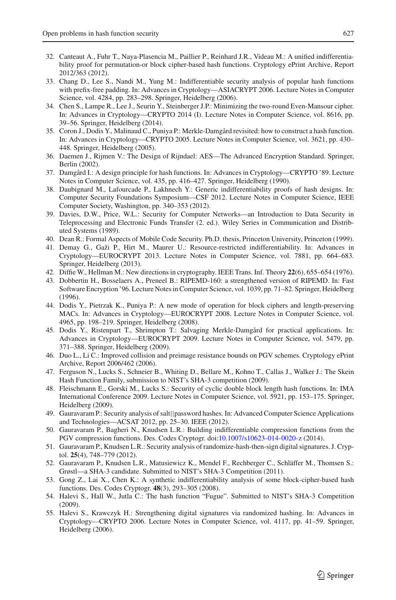- <span id="page-16-22"></span>32. Canteaut A., Fuhr T., Naya-Plasencia M., Paillier P., Reinhard J.R., Videau M.: A unified indifferentiability proof for permutation-or block cipher-based hash functions. Cryptology ePrint Archive, Report 2012/363 (2012).
- <span id="page-16-11"></span>33. Chang D., Lee S., Nandi M., Yung M.: Indifferentiable security analysis of popular hash functions with prefix-free padding. In: Advances in Cryptology—ASIACRYPT 2006. Lecture Notes in Computer Science, vol. 4284, pp. 283–298. Springer, Heidelberg (2006).
- <span id="page-16-20"></span>34. Chen S., Lampe R., Lee J., Seurin Y., Steinberger J.P.: Minimizing the two-round Even-Mansour cipher. In: Advances in Cryptology—CRYPTO 2014 (I). Lecture Notes in Computer Science, vol. 8616, pp. 39–56. Springer, Heidelberg (2014).
- <span id="page-16-2"></span>35. Coron J., Dodis Y., Malinaud C., Puniya P.: Merkle-Damgård revisited: how to construct a hash function. In: Advances in Cryptology—CRYPTO 2005. Lecture Notes in Computer Science, vol. 3621, pp. 430– 448. Springer, Heidelberg (2005).
- <span id="page-16-17"></span>36. Daemen J., Rijmen V.: The Design of Rijndael: AES—The Advanced Encryption Standard. Springer, Berlin (2002).
- <span id="page-16-9"></span>37. Damgård I.: A design principle for hash functions. In: Advances in Cryptology—CRYPTO '89. Lecture Notes in Computer Science, vol. 435, pp. 416–427. Springer, Heidelberg (1990).
- <span id="page-16-23"></span>38. Daubignard M., Lafourcade P., Lakhnech Y.: Generic indifferentiability proofs of hash designs. In: Computer Security Foundations Symposium—CSF 2012. Lecture Notes in Computer Science, IEEE Computer Society, Washington, pp. 340–353 (2012).
- <span id="page-16-5"></span>39. Davies, D.W., Price, W.L.: Security for Computer Networks—an Introduction to Data Security in Teleprocessing and Electronic Funds Transfer (2. ed.). Wiley Series in Communication and Distributed Systems (1989).
- <span id="page-16-1"></span>40. Dean R.: Formal Aspects of Mobile Code Security. Ph.D. thesis, Princeton University, Princeton (1999).
- <span id="page-16-4"></span>41. Demay G., Gaži P., Hirt M., Maurer U.: Resource-restricted indifferentiability. In: Advances in Cryptology—EUROCRYPT 2013. Lecture Notes in Computer Science, vol. 7881, pp. 664–683. Springer, Heidelberg (2013).
- <span id="page-16-0"></span>42. Diffie W., Hellman M.: New directions in cryptography. IEEE Trans. Inf. Theory **22**(6), 655–654 (1976).
- <span id="page-16-10"></span>43. Dobbertin H., Bosselaers A., Preneel B.: RIPEMD-160: a strengthened version of RIPEMD. In: Fast Software Encryption '96. Lecture Notes in Computer Science, vol. 1039, pp. 71–82. Springer, Heidelberg (1996).
- <span id="page-16-19"></span>44. Dodis Y., Pietrzak K., Puniya P.: A new mode of operation for block ciphers and length-preserving MACs. In: Advances in Cryptology—EUROCRYPT 2008. Lecture Notes in Computer Science, vol. 4965, pp. 198–219. Springer, Heidelberg (2008).
- <span id="page-16-3"></span>45. Dodis Y., Ristenpart T., Shrimpton T.: Salvaging Merkle-Damgård for practical applications. In: Advances in Cryptology—EUROCRYPT 2009. Lecture Notes in Computer Science, vol. 5479, pp. 371–388. Springer, Heidelberg (2009).
- <span id="page-16-15"></span>46. Duo L., Li C.: Improved collision and preimage resistance bounds on PGV schemes. Cryptology ePrint Archive, Report 2006/462 (2006).
- <span id="page-16-13"></span>47. Ferguson N., Lucks S., Schneier B., Whiting D., Bellare M., Kohno T., Callas J., Walker J.: The Skein Hash Function Family, submission to NIST's SHA-3 competition (2009).
- <span id="page-16-14"></span>48. Fleischmann E., Gorski M., Lucks S.: Security of cyclic double block length hash functions. In: IMA International Conference 2009. Lecture Notes in Computer Science, vol. 5921, pp. 153–175. Springer, Heidelberg (2009).
- <span id="page-16-8"></span>49. Gauravaram P.: Security analysis of salt||password hashes. In: Advanced Computer Science Applications and Technologies—ACSAT 2012, pp. 25–30. IEEE (2012).
- <span id="page-16-16"></span>50. Gauravaram P., Bagheri N., Knudsen L.R.: Building indifferentiable compression functions from the PGV compression functions. Des. Codes Cryptogr. doi[:10.1007/s10623-014-0020-z](http://dx.doi.org/10.1007/s10623-014-0020-z) (2014).
- <span id="page-16-7"></span>51. Gauravaram P., Knudsen L.R.: Security analysis of randomize-hash-then-sign digital signatures. J. Cryptol. **25**(4), 748–779 (2012).
- <span id="page-16-18"></span>52. Gauravaram P., Knudsen L.R., Matusiewicz K., Mendel F., Rechberger C., Schläffer M., Thomsen S.: Grøstl—a SHA-3 candidate. Submitted to NIST's SHA-3 Competition (2011).
- <span id="page-16-12"></span>53. Gong Z., Lai X., Chen K.: A synthetic indifferentiability analysis of some block-cipher-based hash functions. Des. Codes Cryptogr. **48**(3), 293–305 (2008).
- <span id="page-16-21"></span>54. Halevi S., Hall W., Jutla C.: The hash function "Fugue". Submitted to NIST's SHA-3 Competition (2009).
- <span id="page-16-6"></span>55. Halevi S., Krawczyk H.: Strengthening digital signatures via randomized hashing. In: Advances in Cryptology—CRYPTO 2006. Lecture Notes in Computer Science, vol. 4117, pp. 41–59. Springer, Heidelberg (2006).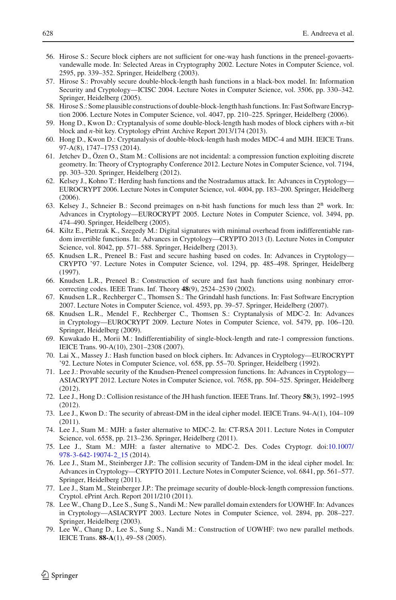- <span id="page-17-20"></span>56. Hirose S.: Secure block ciphers are not sufficient for one-way hash functions in the preneel-govaertsvandewalle mode. In: Selected Areas in Cryptography 2002. Lecture Notes in Computer Science, vol. 2595, pp. 339–352. Springer, Heidelberg (2003).
- <span id="page-17-9"></span>57. Hirose S.: Provably secure double-block-length hash functions in a black-box model. In: Information Security and Cryptology—ICISC 2004. Lecture Notes in Computer Science, vol. 3506, pp. 330–342. Springer, Heidelberg (2005).
- <span id="page-17-8"></span>58. Hirose S.: Some plausible constructions of double-block-length hash functions. In: Fast Software Encryption 2006. Lecture Notes in Computer Science, vol. 4047, pp. 210–225. Springer, Heidelberg (2006).
- <span id="page-17-17"></span>59. Hong D., Kwon D.: Cryptanalysis of some double-block-length hash modes of block ciphers with *n*-bit block and *n*-bit key. Cryptology ePrint Archive Report 2013/174 (2013).
- <span id="page-17-15"></span>60. Hong D., Kwon D.: Cryptanalysis of double-block-length hash modes MDC-4 and MJH. IEICE Trans. 97-A(8), 1747–1753 (2014).
- <span id="page-17-11"></span>61. Jetchev D., Özen O., Stam M.: Collisions are not incidental: a compression function exploiting discrete geometry. In: Theory of Cryptography Conference 2012. Lecture Notes in Computer Science, vol. 7194, pp. 303–320. Springer, Heidelberg (2012).
- <span id="page-17-1"></span>62. Kelsey J., Kohno T.: Herding hash functions and the Nostradamus attack. In: Advances in Cryptology— EUROCRYPT 2006. Lecture Notes in Computer Science, vol. 4004, pp. 183–200. Springer, Heidelberg (2006).
- <span id="page-17-0"></span>63. Kelsey J., Schneier B.: Second preimages on n-bit hash functions for much less than  $2^n$  work. In: Advances in Cryptology—EUROCRYPT 2005. Lecture Notes in Computer Science, vol. 3494, pp. 474–490. Springer, Heidelberg (2005).
- <span id="page-17-21"></span>64. Kiltz E., Pietrzak K., Szegedy M.: Digital signatures with minimal overhead from indifferentiable random invertible functions. In: Advances in Cryptology—CRYPTO 2013 (I). Lecture Notes in Computer Science, vol. 8042, pp. 571–588. Springer, Heidelberg (2013).
- <span id="page-17-18"></span>65. Knudsen L.R., Preneel B.: Fast and secure hashing based on codes. In: Advances in Cryptology— CRYPTO '97. Lecture Notes in Computer Science, vol. 1294, pp. 485–498. Springer, Heidelberg (1997).
- <span id="page-17-22"></span>66. Knudsen L.R., Preneel B.: Construction of secure and fast hash functions using nonbinary errorcorrecting codes. IEEE Trans. Inf. Theory **48**(9), 2524–2539 (2002).
- <span id="page-17-14"></span>67. Knudsen L.R., Rechberger C., Thomsen S.: The Grindahl hash functions. In: Fast Software Encryption 2007. Lecture Notes in Computer Science, vol. 4593, pp. 39–57. Springer, Heidelberg (2007).
- <span id="page-17-12"></span>68. Knudsen L.R., Mendel F., Rechberger C., Thomsen S.: Cryptanalysis of MDC-2. In: Advances in Cryptology—EUROCRYPT 2009. Lecture Notes in Computer Science, vol. 5479, pp. 106–120. Springer, Heidelberg (2009).
- <span id="page-17-13"></span>69. Kuwakado H., Morii M.: Indifferentiability of single-block-length and rate-1 compression functions. IEICE Trans. 90-A(10), 2301–2308 (2007).
- <span id="page-17-2"></span>70. Lai X., Massey J.: Hash function based on block ciphers. In: Advances in Cryptology—EUROCRYPT '92. Lecture Notes in Computer Science, vol. 658, pp. 55–70. Springer, Heidelberg (1992).
- <span id="page-17-19"></span>71. Lee J.: Provable security of the Knudsen-Preneel compression functions. In: Advances in Cryptology— ASIACRYPT 2012. Lecture Notes in Computer Science, vol. 7658, pp. 504–525. Springer, Heidelberg (2012).
- <span id="page-17-23"></span>72. Lee J., Hong D.: Collision resistance of the JH hash function. IEEE Trans. Inf. Theory **58**(3), 1992–1995 (2012).
- <span id="page-17-7"></span>73. Lee J., Kwon D.: The security of abreast-DM in the ideal cipher model. IEICE Trans. 94-A(1), 104–109 (2011).
- <span id="page-17-10"></span>74. Lee J., Stam M.: MJH: a faster alternative to MDC-2. In: CT-RSA 2011. Lecture Notes in Computer Science, vol. 6558, pp. 213–236. Springer, Heidelberg (2011).
- <span id="page-17-16"></span>75. Lee J., Stam M.: MJH: a faster alternative to MDC-2. Des. Codes Cryptogr. doi[:10.1007/](http://dx.doi.org/10.1007/978-3-642-19074-2_15) [978-3-642-19074-2\\_15](http://dx.doi.org/10.1007/978-3-642-19074-2_15) (2014).
- <span id="page-17-5"></span>76. Lee J., Stam M., Steinberger J.P.: The collision security of Tandem-DM in the ideal cipher model. In: Advances in Cryptology—CRYPTO 2011. Lecture Notes in Computer Science, vol. 6841, pp. 561–577. Springer, Heidelberg (2011).
- <span id="page-17-6"></span>77. Lee J., Stam M., Steinberger J.P.: The preimage security of double-block-length compression functions. Cryptol. ePrint Arch. Report 2011/210 (2011).
- <span id="page-17-3"></span>78. Lee W., Chang D., Lee S., Sung S., Nandi M.: New parallel domain extenders for UOWHF. In: Advances in Cryptology—ASIACRYPT 2003. Lecture Notes in Computer Science, vol. 2894, pp. 208–227. Springer, Heidelberg (2003).
- <span id="page-17-4"></span>79. Lee W., Chang D., Lee S., Sung S., Nandi M.: Construction of UOWHF: two new parallel methods. IEICE Trans. **88-A**(1), 49–58 (2005).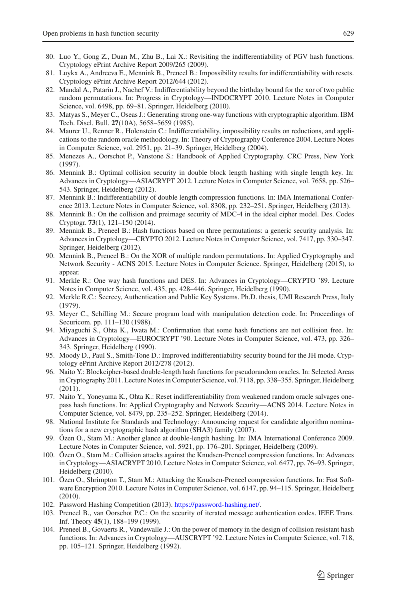- <span id="page-18-9"></span>80. Luo Y., Gong Z., Duan M., Zhu B., Lai X.: Revisiting the indifferentiability of PGV hash functions. Cryptology ePrint Archive Report 2009/265 (2009).
- <span id="page-18-4"></span>81. Luykx A., Andreeva E., Mennink B., Preneel B.: Impossibility results for indifferentiability with resets. Cryptology ePrint Archive Report 2012/644 (2012).
- <span id="page-18-22"></span>82. Mandal A., Patarin J., Nachef V.: Indifferentiability beyond the birthday bound for the xor of two public random permutations. In: Progress in Cryptology—INDOCRYPT 2010. Lecture Notes in Computer Science, vol. 6498, pp. 69–81. Springer, Heidelberg (2010).
- <span id="page-18-10"></span>83. Matyas S., Meyer C., Oseas J.: Generating strong one-way functions with cryptographic algorithm. IBM Tech. Discl. Bull. **27**(10A), 5658–5659 (1985).
- <span id="page-18-2"></span>84. Maurer U., Renner R., Holenstein C.: Indifferentiability, impossibility results on reductions, and applications to the random oracle methodology. In: Theory of Cryptography Conference 2004. Lecture Notes in Computer Science, vol. 2951, pp. 21–39. Springer, Heidelberg (2004).
- <span id="page-18-3"></span>85. Menezes A., Oorschot P., Vanstone S.: Handbook of Applied Cryptography. CRC Press, New York (1997).
- <span id="page-18-15"></span>86. Mennink B.: Optimal collision security in double block length hashing with single length key. In: Advances in Cryptology—ASIACRYPT 2012. Lecture Notes in Computer Science, vol. 7658, pp. 526– 543. Springer, Heidelberg (2012).
- <span id="page-18-12"></span>87. Mennink B.: Indifferentiability of double length compression functions. In: IMA International Conference 2013. Lecture Notes in Computer Science, vol. 8308, pp. 232–251. Springer, Heidelberg (2013).
- <span id="page-18-16"></span>88. Mennink B.: On the collision and preimage security of MDC-4 in the ideal cipher model. Des. Codes Cryptogr. **73**(1), 121–150 (2014).
- <span id="page-18-21"></span>89. Mennink B., Preneel B.: Hash functions based on three permutations: a generic security analysis. In: Advances in Cryptology—CRYPTO 2012. Lecture Notes in Computer Science, vol. 7417, pp. 330–347. Springer, Heidelberg (2012).
- <span id="page-18-23"></span>90. Mennink B., Preneel B.: On the XOR of multiple random permutations. In: Applied Cryptography and Network Security - ACNS 2015. Lecture Notes in Computer Science. Springer, Heidelberg (2015), to appear.
- <span id="page-18-8"></span>91. Merkle R.: One way hash functions and DES. In: Advances in Cryptology—CRYPTO '89. Lecture Notes in Computer Science, vol. 435, pp. 428–446. Springer, Heidelberg (1990).
- <span id="page-18-0"></span>92. Merkle R.C.: Secrecy, Authentication and Public Key Systems. Ph.D. thesis, UMI Research Press, Italy (1979).
- <span id="page-18-14"></span>93. Meyer C., Schilling M.: Secure program load with manipulation detection code. In: Proceedings of Securicom. pp. 111–130 (1988).
- <span id="page-18-11"></span>94. Miyaguchi S., Ohta K., Iwata M.: Confirmation that some hash functions are not collision free. In: Advances in Cryptology—EUROCRYPT '90. Lecture Notes in Computer Science, vol. 473, pp. 326– 343. Springer, Heidelberg (1990).
- <span id="page-18-24"></span>95. Moody D., Paul S., Smith-Tone D.: Improved indifferentiability security bound for the JH mode. Cryptology ePrint Archive Report 2012/278 (2012).
- <span id="page-18-17"></span>96. Naito Y.: Blockcipher-based double-length hash functions for pseudorandom oracles. In: Selected Areas in Cryptography 2011. Lecture Notes in Computer Science, vol. 7118, pp. 338–355. Springer, Heidelberg (2011).
- <span id="page-18-5"></span>97. Naito Y., Yoneyama K., Ohta K.: Reset indifferentiability from weakened random oracle salvages onepass hash functions. In: Applied Cryptography and Network Security—ACNS 2014. Lecture Notes in Computer Science, vol. 8479, pp. 235–252. Springer, Heidelberg (2014).
- <span id="page-18-1"></span>98. National Institute for Standards and Technology: Announcing request for candidate algorithm nominations for a new cryptographic hash algorithm (SHA3) family (2007).
- <span id="page-18-13"></span>99. Özen O., Stam M.: Another glance at double-length hashing. In: IMA International Conference 2009. Lecture Notes in Computer Science, vol. 5921, pp. 176–201. Springer, Heidelberg (2009).
- <span id="page-18-18"></span>100. Özen O., Stam M.: Collision attacks against the Knudsen-Preneel compression functions. In: Advances in Cryptology—ASIACRYPT 2010. Lecture Notes in Computer Science, vol. 6477, pp. 76–93. Springer, Heidelberg (2010).
- <span id="page-18-19"></span>101. Özen O., Shrimpton T., Stam M.: Attacking the Knudsen-Preneel compression functions. In: Fast Software Encryption 2010. Lecture Notes in Computer Science, vol. 6147, pp. 94–115. Springer, Heidelberg (2010).
- <span id="page-18-7"></span>102. Password Hashing Competition (2013). [https://password-hashing.net/.](https://password-hashing.net/)
- <span id="page-18-6"></span>103. Preneel B., van Oorschot P.C.: On the security of iterated message authentication codes. IEEE Trans. Inf. Theory **45**(1), 188–199 (1999).
- <span id="page-18-20"></span>104. Preneel B., Govaerts R., Vandewalle J.: On the power of memory in the design of collision resistant hash functions. In: Advances in Cryptology—AUSCRYPT '92. Lecture Notes in Computer Science, vol. 718, pp. 105–121. Springer, Heidelberg (1992).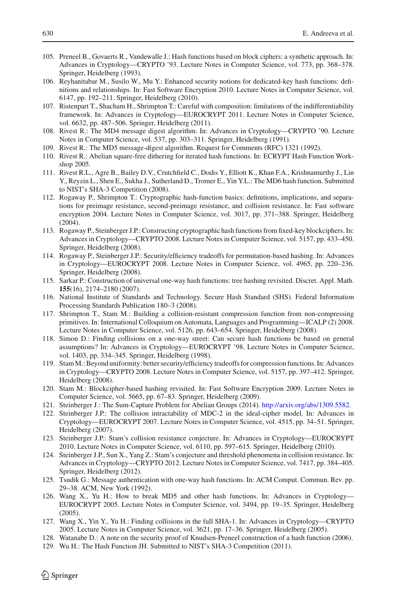- <span id="page-19-0"></span>105. Preneel B., Govaerts R., Vandewalle J.: Hash functions based on block ciphers: a synthetic approach. In: Advances in Cryptology—CRYPTO '93. Lecture Notes in Computer Science, vol. 773, pp. 368–378. Springer, Heidelberg (1993).
- <span id="page-19-5"></span>106. Reyhanitabar M., Susilo W., Mu Y.: Enhanced security notions for dedicated-key hash functions: definitions and relationships. In: Fast Software Encryption 2010. Lecture Notes in Computer Science, vol. 6147, pp. 192–211. Springer, Heidelberg (2010).
- <span id="page-19-7"></span>107. Ristenpart T., Shacham H., Shrimpton T.: Careful with composition: limitations of the indifferentiability framework. In: Advances in Cryptology—EUROCRYPT 2011. Lecture Notes in Computer Science, vol. 6632, pp. 487–506. Springer, Heidelberg (2011).
- <span id="page-19-1"></span>108. Rivest R.: The MD4 message digest algorithm. In: Advances in Cryptology—CRYPTO '90. Lecture Notes in Computer Science, vol. 537, pp. 303–311. Springer, Heidelberg (1991).
- <span id="page-19-2"></span>109. Rivest R.: The MD5 message-digest algorithm. Request for Comments (RFC) 1321 (1992).
- <span id="page-19-10"></span>110. Rivest R.: Abelian square-free dithering for iterated hash functions. In: ECRYPT Hash Function Workshop 2005.
- <span id="page-19-12"></span>111. Rivest R.L., Agre B., Bailey D.V., Crutchfield C., Dodis Y., Elliott K., Khan F.A., Krishnamurthy J., Lin Y., Reyzin L., Shen E., Sukha J., Sutherland D., Tromer E., Yin Y.L.: The MD6 hash function. Submitted to NIST's SHA-3 Competition (2008).
- <span id="page-19-6"></span>112. Rogaway P., Shrimpton T.: Cryptographic hash-function basics: definitions, implications, and separations for preimage resistance, second-preimage resistance, and collision resistance. In: Fast software encryption 2004. Lecture Notes in Computer Science, vol. 3017, pp. 371–388. Springer, Heidelberg (2004).
- <span id="page-19-22"></span>113. Rogaway P., Steinberger J.P.: Constructing cryptographic hash functions from fixed-key blockciphers. In: Advances in Cryptology—CRYPTO 2008. Lecture Notes in Computer Science, vol. 5157, pp. 433–450. Springer, Heidelberg (2008).
- <span id="page-19-18"></span>114. Rogaway P., Steinberger J.P.: Security/efficiency tradeoffs for permutation-based hashing. In: Advances in Cryptology—EUROCRYPT 2008. Lecture Notes in Computer Science, vol. 4965, pp. 220–236. Springer, Heidelberg (2008).
- <span id="page-19-11"></span>115. Sarkar P.: Construction of universal one-way hash functions: tree hashing revisited. Discret. Appl. Math. **155**(16), 2174–2180 (2007).
- <span id="page-19-9"></span>116. National Institute of Standards and Technology. Secure Hash Standard (SHS). Federal Information Processing Standards Publication 180–3 (2008).
- <span id="page-19-21"></span>117. Shrimpton T., Stam M.: Building a collision-resistant compression function from non-compressing primitives. In: International Colloquium on Automata, Languages and Programming—ICALP (2) 2008. Lecture Notes in Computer Science, vol. 5126, pp. 643–654. Springer, Heidelberg (2008).
- <span id="page-19-17"></span>118. Simon D.: Finding collisions on a one-way street: Can secure hash functions be based on general assumptions? In: Advances in Cryptology—EUROCRYPT '98. Lecture Notes in Computer Science, vol. 1403, pp. 334–345. Springer, Heidelberg (1998).
- <span id="page-19-13"></span>119. StamM.: Beyond uniformity: better security/efficiency tradeoffs for compression functions. In: Advances in Cryptology—CRYPTO 2008. Lecture Notes in Computer Science, vol. 5157, pp. 397–412. Springer, Heidelberg (2008).
- <span id="page-19-14"></span>120. Stam M.: Blockcipher-based hashing revisited. In: Fast Software Encryption 2009. Lecture Notes in Computer Science, vol. 5665, pp. 67–83. Springer, Heidelberg (2009).
- <span id="page-19-24"></span>121. Steinberger J.: The Sum-Capture Problem for Abelian Groups (2014). [http://arxiv.org/abs/1309.5582.](http://arxiv.org/abs/1309.5582)
- <span id="page-19-15"></span>122. Steinberger J.P.: The collision intractability of MDC-2 in the ideal-cipher model. In: Advances in Cryptology—EUROCRYPT 2007. Lecture Notes in Computer Science, vol. 4515, pp. 34–51. Springer, Heidelberg (2007).
- <span id="page-19-19"></span>123. Steinberger J.P.: Stam's collision resistance conjecture. In: Advances in Cryptology—EUROCRYPT 2010. Lecture Notes in Computer Science, vol. 6110, pp. 597–615. Springer, Heidelberg (2010).
- <span id="page-19-20"></span>124. Steinberger J.P., Sun X., Yang Z.: Stam's conjecture and threshold phenomena in collision resistance. In: Advances in Cryptology—CRYPTO 2012. Lecture Notes in Computer Science, vol. 7417, pp. 384–405. Springer, Heidelberg (2012).
- <span id="page-19-8"></span>125. Tsudik G.: Message authentication with one-way hash functions. In: ACM Comput. Commun. Rev. pp. 29–38. ACM, New York (1992).
- <span id="page-19-3"></span>126. Wang X., Yu H.: How to break MD5 and other hash functions. In: Advances in Cryptology— EUROCRYPT 2005. Lecture Notes in Computer Science, vol. 3494, pp. 19–35. Springer, Heidelberg (2005).
- <span id="page-19-4"></span>127. Wang X., Yin Y., Yu H.: Finding collisions in the full SHA-1. In: Advances in Cryptology—CRYPTO 2005. Lecture Notes in Computer Science, vol. 3621, pp. 17–36. Springer, Heidelberg (2005).
- <span id="page-19-16"></span>128. Watanabe D.: A note on the security proof of Knudsen-Preneel construction of a hash function (2006).
- <span id="page-19-23"></span>129. Wu H.: The Hash Function JH. Submitted to NIST's SHA-3 Competition (2011).